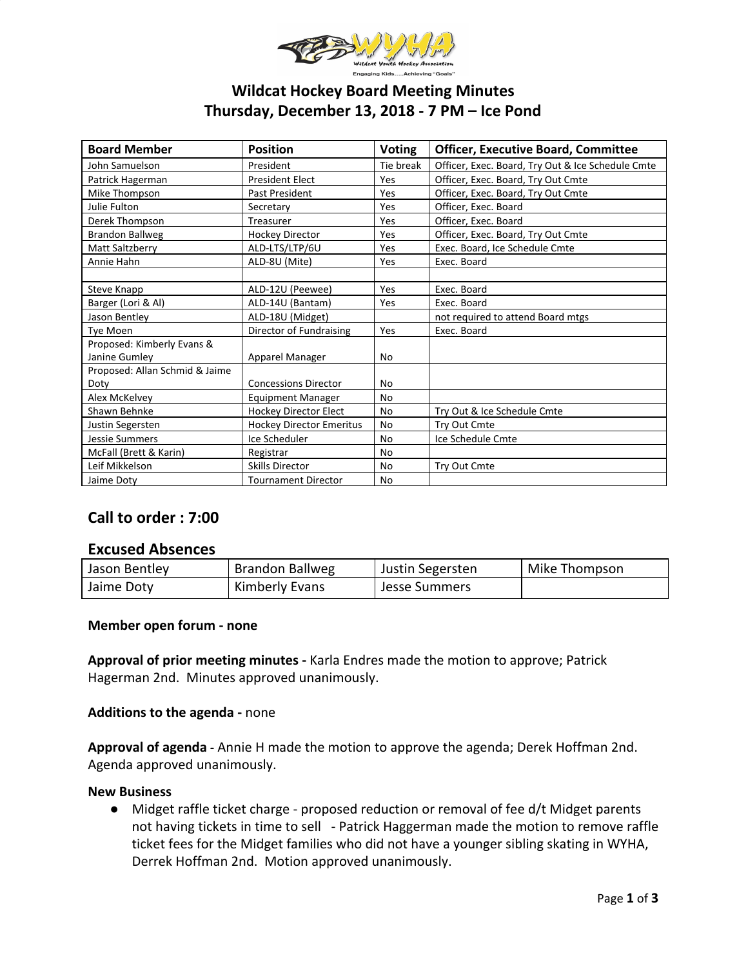

# **Wildcat Hockey Board Meeting Minutes Thursday, December 13, 2018 - 7 PM – Ice Pond**

| <b>Board Member</b>            | <b>Position</b>                 | <b>Voting</b> | <b>Officer, Executive Board, Committee</b>        |  |
|--------------------------------|---------------------------------|---------------|---------------------------------------------------|--|
| John Samuelson                 | President                       | Tie break     | Officer, Exec. Board, Try Out & Ice Schedule Cmte |  |
| Patrick Hagerman               | <b>President Elect</b>          | Yes           | Officer, Exec. Board, Try Out Cmte                |  |
| Mike Thompson                  | Past President                  | Yes           | Officer, Exec. Board, Try Out Cmte                |  |
| Julie Fulton                   | Secretary                       | Yes           | Officer, Exec. Board                              |  |
| Derek Thompson                 | Treasurer                       | Yes           | Officer, Exec. Board                              |  |
| Brandon Ballweg                | <b>Hockey Director</b>          | Yes           | Officer, Exec. Board, Try Out Cmte                |  |
| Matt Saltzberry                | ALD-LTS/LTP/6U                  | Yes           | Exec. Board, Ice Schedule Cmte                    |  |
| Annie Hahn                     | ALD-8U (Mite)                   | Yes           | Exec. Board                                       |  |
|                                |                                 |               |                                                   |  |
| Steve Knapp                    | ALD-12U (Peewee)                | Yes           | Exec. Board                                       |  |
| Barger (Lori & Al)             | ALD-14U (Bantam)                | Yes           | Exec. Board                                       |  |
| Jason Bentley                  | ALD-18U (Midget)                |               | not required to attend Board mtgs                 |  |
| Tye Moen                       | Director of Fundraising         | Yes           | Exec. Board                                       |  |
| Proposed: Kimberly Evans &     |                                 |               |                                                   |  |
| Janine Gumley                  | Apparel Manager                 | <b>No</b>     |                                                   |  |
| Proposed: Allan Schmid & Jaime |                                 |               |                                                   |  |
| Doty                           | <b>Concessions Director</b>     | No            |                                                   |  |
| Alex McKelvey                  | <b>Equipment Manager</b>        | <b>No</b>     |                                                   |  |
| Shawn Behnke                   | Hockey Director Elect           | <b>No</b>     | Try Out & Ice Schedule Cmte                       |  |
| Justin Segersten               | <b>Hockey Director Emeritus</b> | <b>No</b>     | Try Out Cmte                                      |  |
| <b>Jessie Summers</b>          | Ice Scheduler                   | <b>No</b>     | Ice Schedule Cmte                                 |  |
| McFall (Brett & Karin)         | Registrar                       | No            |                                                   |  |
| Leif Mikkelson                 | <b>Skills Director</b>          | No            | Try Out Cmte                                      |  |
| Jaime Doty                     | <b>Tournament Director</b>      | No            |                                                   |  |

# **Call to order : 7:00**

## **Excused Absences**

| Jason Bentley | Brandon Ballweg | Justin Segersten | Mike Thompson |
|---------------|-----------------|------------------|---------------|
| Jaime Doty    | Kimberly Evans  | Jesse Summers    |               |

## **Member open forum - none**

**Approval of prior meeting minutes -** Karla Endres made the motion to approve; Patrick Hagerman 2nd. Minutes approved unanimously.

## **Additions to the agenda -** none

**Approval of agenda -** Annie H made the motion to approve the agenda; Derek Hoffman 2nd. Agenda approved unanimously.

#### **New Business**

● Midget raffle ticket charge - proposed reduction or removal of fee d/t Midget parents not having tickets in time to sell - Patrick Haggerman made the motion to remove raffle ticket fees for the Midget families who did not have a younger sibling skating in WYHA, Derrek Hoffman 2nd. Motion approved unanimously.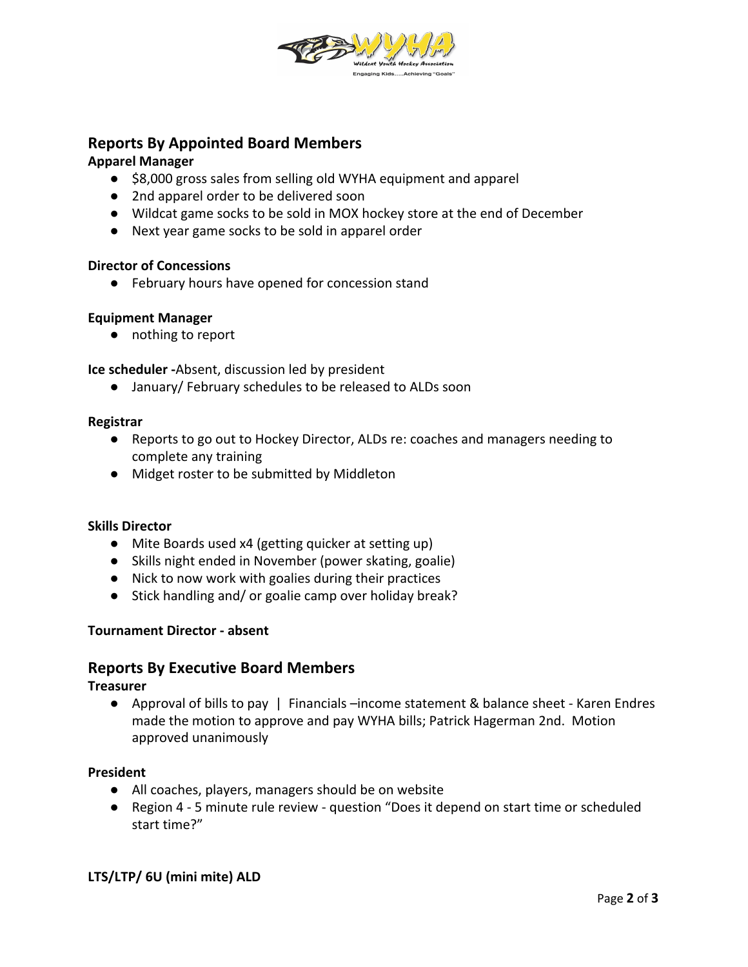

# **Reports By Appointed Board Members**

## **Apparel Manager**

- **●** \$8,000 gross sales from selling old WYHA equipment and apparel
- 2nd apparel order to be delivered soon
- Wildcat game socks to be sold in MOX hockey store at the end of December
- Next year game socks to be sold in apparel order

#### **Director of Concessions**

● February hours have opened for concession stand

## **Equipment Manager**

● nothing to report

**Ice scheduler -**Absent, discussion led by president

● January/ February schedules to be released to ALDs soon

#### **Registrar**

- Reports to go out to Hockey Director, ALDs re: coaches and managers needing to complete any training
- Midget roster to be submitted by Middleton

#### **Skills Director**

- Mite Boards used x4 (getting quicker at setting up)
- Skills night ended in November (power skating, goalie)
- Nick to now work with goalies during their practices
- Stick handling and/ or goalie camp over holiday break?

## **Tournament Director - absent**

## **Reports By Executive Board Members**

#### **Treasurer**

● Approval of bills to pay | Financials –income statement & balance sheet - Karen Endres made the motion to approve and pay WYHA bills; Patrick Hagerman 2nd. Motion approved unanimously

## **President**

- All coaches, players, managers should be on website
- Region 4 5 minute rule review question "Does it depend on start time or scheduled start time?"